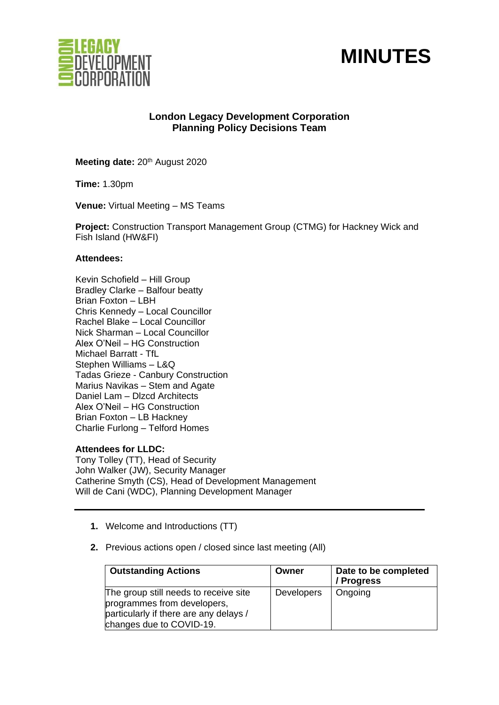



# **London Legacy Development Corporation Planning Policy Decisions Team**

**Meeting date: 20th August 2020** 

**Time:** 1.30pm

**Venue:** Virtual Meeting – MS Teams

**Project:** Construction Transport Management Group (CTMG) for Hackney Wick and Fish Island (HW&FI)

## **Attendees:**

Kevin Schofield – Hill Group Bradley Clarke – Balfour beatty Brian Foxton – LBH Chris Kennedy – Local Councillor Rachel Blake – Local Councillor Nick Sharman – Local Councillor Alex O'Neil – HG Construction Michael Barratt - TfL Stephen Williams – L&Q Tadas Grieze - Canbury Construction Marius Navikas – Stem and Agate Daniel Lam - Dlzcd Architects Alex O'Neil – HG Construction Brian Foxton – LB Hackney Charlie Furlong – Telford Homes

# **Attendees for LLDC:**

Tony Tolley (TT), Head of Security John Walker (JW), Security Manager Catherine Smyth (CS), Head of Development Management Will de Cani (WDC), Planning Development Manager

- **1.** Welcome and Introductions (TT)
- **2.** Previous actions open / closed since last meeting (All)

| <b>Outstanding Actions</b>                                                                                                                 | Owner             | Date to be completed<br>/ Progress |
|--------------------------------------------------------------------------------------------------------------------------------------------|-------------------|------------------------------------|
| The group still needs to receive site<br>programmes from developers,<br>particularly if there are any delays /<br>changes due to COVID-19. | <b>Developers</b> | Ongoing                            |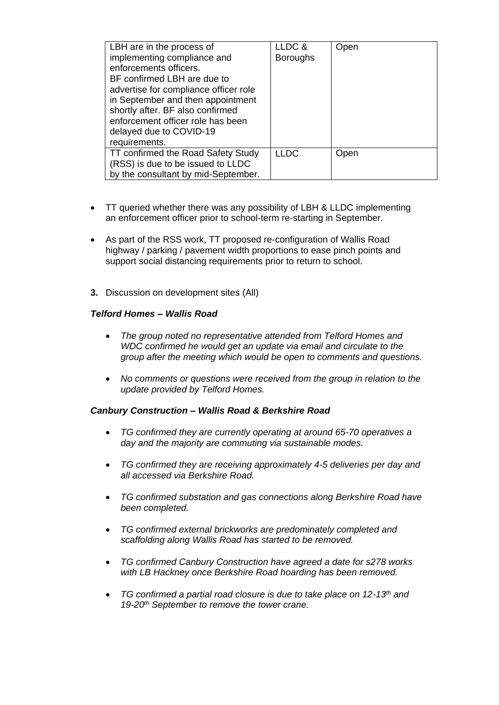| LBH are in the process of<br>implementing compliance and<br>enforcements officers.<br>BF confirmed LBH are due to<br>advertise for compliance officer role<br>in September and then appointment<br>shortly after. BF also confirmed<br>enforcement officer role has been<br>delayed due to COVID-19<br>requirements. | LLDC &<br><b>Boroughs</b> | Open |
|----------------------------------------------------------------------------------------------------------------------------------------------------------------------------------------------------------------------------------------------------------------------------------------------------------------------|---------------------------|------|
| TT confirmed the Road Safety Study<br>(RSS) is due to be issued to LLDC<br>by the consultant by mid-September.                                                                                                                                                                                                       | <b>LLDC</b>               | Open |

- TT queried whether there was any possibility of LBH & LLDC implementing an enforcement officer prior to school-term re-starting in September.
- As part of the RSS work, TT proposed re-configuration of Wallis Road highway / parking / pavement width proportions to ease pinch points and support social distancing requirements prior to return to school.
- **3.** Discussion on development sites (All)

## *Telford Homes – Wallis Road*

- *The group noted no representative attended from Telford Homes and WDC confirmed he would get an update via email and circulate to the group after the meeting which would be open to comments and questions.*
- *No comments or questions were received from the group in relation to the update provided by Telford Homes.*

### *Canbury Construction – Wallis Road & Berkshire Road*

- *TG confirmed they are currently operating at around 65-70 operatives a day and the majority are commuting via sustainable modes.*
- *TG confirmed they are receiving approximately 4-5 deliveries per day and all accessed via Berkshire Road.*
- *TG confirmed substation and gas connections along Berkshire Road have been completed.*
- *TG confirmed external brickworks are predominately completed and scaffolding along Wallis Road has started to be removed.*
- *TG confirmed Canbury Construction have agreed a date for s278 works with LB Hackney once Berkshire Road hoarding has been removed.*
- *TG confirmed a partial road closure is due to take place on 12-13th and 19-20th September to remove the tower crane.*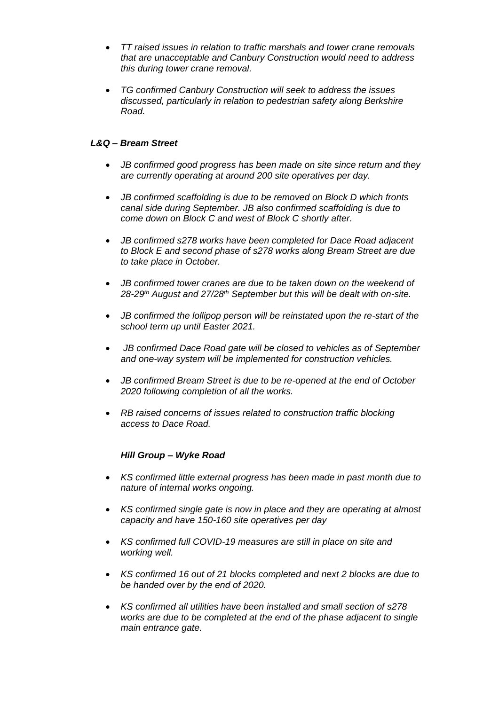- *TT raised issues in relation to traffic marshals and tower crane removals that are unacceptable and Canbury Construction would need to address this during tower crane removal.*
- *TG confirmed Canbury Construction will seek to address the issues discussed, particularly in relation to pedestrian safety along Berkshire Road.*

# *L&Q – Bream Street*

- *JB confirmed good progress has been made on site since return and they are currently operating at around 200 site operatives per day.*
- *JB confirmed scaffolding is due to be removed on Block D which fronts canal side during September. JB also confirmed scaffolding is due to come down on Block C and west of Block C shortly after.*
- *JB confirmed s278 works have been completed for Dace Road adjacent to Block E and second phase of s278 works along Bream Street are due to take place in October.*
- *JB confirmed tower cranes are due to be taken down on the weekend of 28-29th August and 27/28th September but this will be dealt with on-site.*
- *JB confirmed the lollipop person will be reinstated upon the re-start of the school term up until Easter 2021.*
- *JB confirmed Dace Road gate will be closed to vehicles as of September and one-way system will be implemented for construction vehicles.*
- *JB confirmed Bream Street is due to be re-opened at the end of October 2020 following completion of all the works.*
- *RB raised concerns of issues related to construction traffic blocking access to Dace Road.*

# *Hill Group – Wyke Road*

- *KS confirmed little external progress has been made in past month due to nature of internal works ongoing.*
- *KS confirmed single gate is now in place and they are operating at almost capacity and have 150-160 site operatives per day*
- *KS confirmed full COVID-19 measures are still in place on site and working well.*
- *KS confirmed 16 out of 21 blocks completed and next 2 blocks are due to be handed over by the end of 2020.*
- *KS confirmed all utilities have been installed and small section of s278 works are due to be completed at the end of the phase adjacent to single main entrance gate.*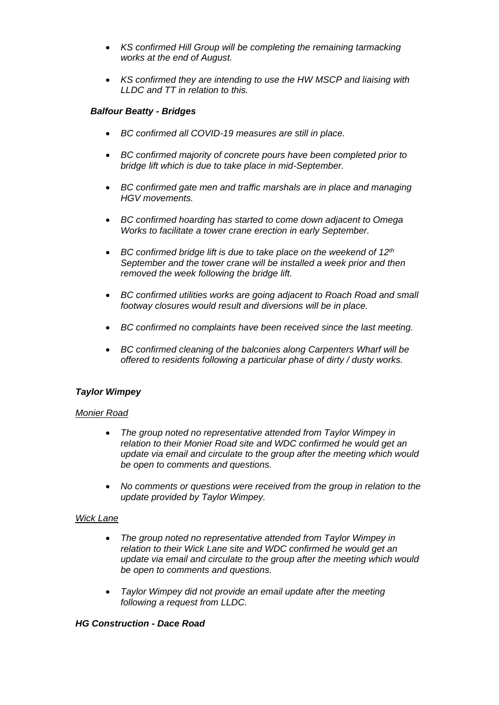- *KS confirmed Hill Group will be completing the remaining tarmacking works at the end of August.*
- *KS confirmed they are intending to use the HW MSCP and liaising with LLDC and TT in relation to this.*

## *Balfour Beatty - Bridges*

- *BC confirmed all COVID-19 measures are still in place.*
- *BC confirmed majority of concrete pours have been completed prior to bridge lift which is due to take place in mid-September.*
- *BC confirmed gate men and traffic marshals are in place and managing HGV movements.*
- *BC confirmed hoarding has started to come down adjacent to Omega Works to facilitate a tower crane erection in early September.*
- *BC confirmed bridge lift is due to take place on the weekend of 12th September and the tower crane will be installed a week prior and then removed the week following the bridge lift.*
- *BC confirmed utilities works are going adjacent to Roach Road and small footway closures would result and diversions will be in place.*
- *BC confirmed no complaints have been received since the last meeting.*
- *BC confirmed cleaning of the balconies along Carpenters Wharf will be offered to residents following a particular phase of dirty / dusty works.*

# *Taylor Wimpey*

### *Monier Road*

- *The group noted no representative attended from Taylor Wimpey in relation to their Monier Road site and WDC confirmed he would get an update via email and circulate to the group after the meeting which would be open to comments and questions.*
- *No comments or questions were received from the group in relation to the update provided by Taylor Wimpey.*

### *Wick Lane*

- *The group noted no representative attended from Taylor Wimpey in relation to their Wick Lane site and WDC confirmed he would get an update via email and circulate to the group after the meeting which would be open to comments and questions.*
- *Taylor Wimpey did not provide an email update after the meeting following a request from LLDC.*

# *HG Construction - Dace Road*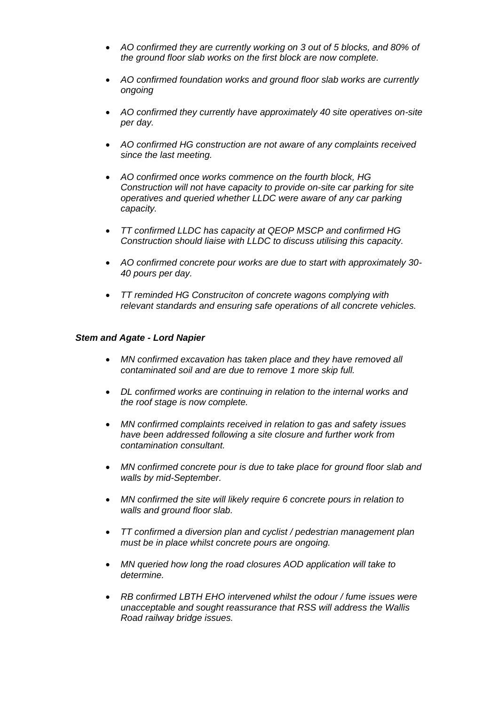- *AO confirmed they are currently working on 3 out of 5 blocks, and 80% of the ground floor slab works on the first block are now complete.*
- *AO confirmed foundation works and ground floor slab works are currently ongoing*
- *AO confirmed they currently have approximately 40 site operatives on-site per day.*
- *AO confirmed HG construction are not aware of any complaints received since the last meeting.*
- *AO confirmed once works commence on the fourth block, HG Construction will not have capacity to provide on-site car parking for site operatives and queried whether LLDC were aware of any car parking capacity.*
- *TT confirmed LLDC has capacity at QEOP MSCP and confirmed HG Construction should liaise with LLDC to discuss utilising this capacity.*
- *AO confirmed concrete pour works are due to start with approximately 30- 40 pours per day.*
- *TT reminded HG Construciton of concrete wagons complying with relevant standards and ensuring safe operations of all concrete vehicles.*

### *Stem and Agate - Lord Napier*

- *MN confirmed excavation has taken place and they have removed all contaminated soil and are due to remove 1 more skip full.*
- *DL confirmed works are continuing in relation to the internal works and the roof stage is now complete.*
- *MN confirmed complaints received in relation to gas and safety issues have been addressed following a site closure and further work from contamination consultant.*
- *MN confirmed concrete pour is due to take place for ground floor slab and walls by mid-September.*
- *MN confirmed the site will likely require 6 concrete pours in relation to walls and ground floor slab.*
- *TT confirmed a diversion plan and cyclist / pedestrian management plan must be in place whilst concrete pours are ongoing.*
- *MN queried how long the road closures AOD application will take to determine.*
- *RB confirmed LBTH EHO intervened whilst the odour / fume issues were unacceptable and sought reassurance that RSS will address the Wallis Road railway bridge issues.*